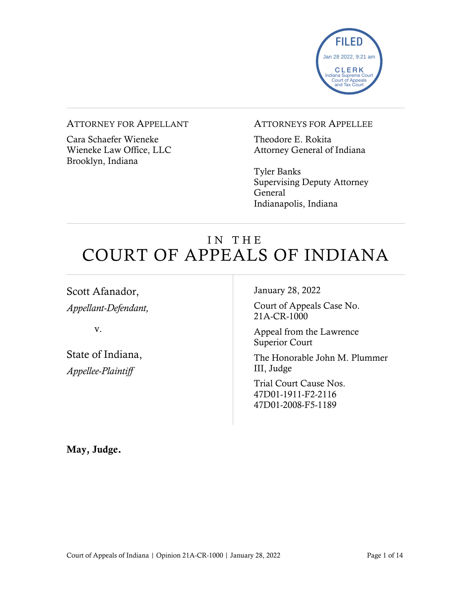

### ATTORNEY FOR APPELLANT

Cara Schaefer Wieneke Wieneke Law Office, LLC Brooklyn, Indiana

#### ATTORNEYS FOR APPELLEE

Theodore E. Rokita Attorney General of Indiana

Tyler Banks Supervising Deputy Attorney General Indianapolis, Indiana

# IN THE COURT OF APPEALS OF INDIANA

Scott Afanador, *Appellant-Defendant,*

v.

State of Indiana, *Appellee-Plaintiff*

January 28, 2022

Court of Appeals Case No. 21A-CR-1000

Appeal from the Lawrence Superior Court

The Honorable John M. Plummer III, Judge

Trial Court Cause Nos. 47D01-1911-F2-2116 47D01-2008-F5-1189

May, Judge.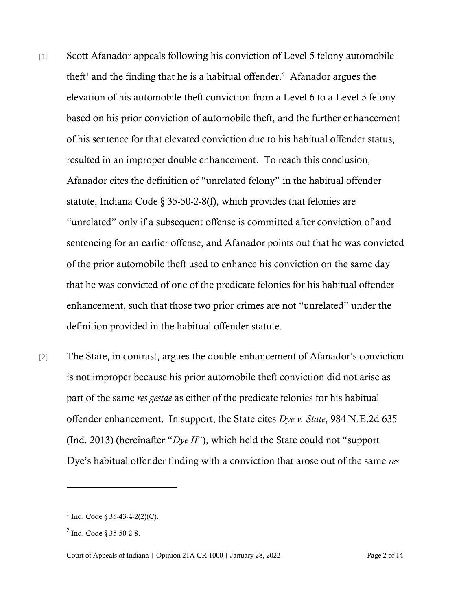- [1] Scott Afanador appeals following his conviction of Level 5 felony automobile theft<sup>[1](#page-1-0)</sup> and the finding that he is a habitual offender.<sup>[2](#page-1-1)</sup> Afanador argues the elevation of his automobile theft conviction from a Level 6 to a Level 5 felony based on his prior conviction of automobile theft, and the further enhancement of his sentence for that elevated conviction due to his habitual offender status, resulted in an improper double enhancement. To reach this conclusion, Afanador cites the definition of "unrelated felony" in the habitual offender statute, Indiana Code § 35-50-2-8(f), which provides that felonies are "unrelated" only if a subsequent offense is committed after conviction of and sentencing for an earlier offense, and Afanador points out that he was convicted of the prior automobile theft used to enhance his conviction on the same day that he was convicted of one of the predicate felonies for his habitual offender enhancement, such that those two prior crimes are not "unrelated" under the definition provided in the habitual offender statute.
- [2] The State, in contrast, argues the double enhancement of Afanador's conviction is not improper because his prior automobile theft conviction did not arise as part of the same *res gestae* as either of the predicate felonies for his habitual offender enhancement. In support, the State cites *Dye v. State*, 984 N.E.2d 635 (Ind. 2013) (hereinafter "*Dye II*"), which held the State could not "support Dye's habitual offender finding with a conviction that arose out of the same *res*

<span id="page-1-0"></span> $1$  Ind. Code § 35-43-4-2(2)(C).

<span id="page-1-1"></span><sup>2</sup> Ind. Code § 35-50-2-8.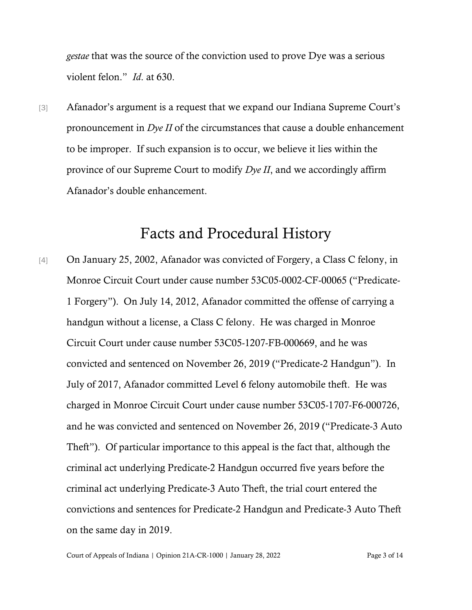*gestae* that was the source of the conviction used to prove Dye was a serious violent felon." *Id*. at 630.

[3] Afanador's argument is a request that we expand our Indiana Supreme Court's pronouncement in *Dye II* of the circumstances that cause a double enhancement to be improper. If such expansion is to occur, we believe it lies within the province of our Supreme Court to modify *Dye II*, and we accordingly affirm Afanador's double enhancement.

### Facts and Procedural History

[4] On January 25, 2002, Afanador was convicted of Forgery, a Class C felony, in Monroe Circuit Court under cause number 53C05-0002-CF-00065 ("Predicate-1 Forgery"). On July 14, 2012, Afanador committed the offense of carrying a handgun without a license, a Class C felony. He was charged in Monroe Circuit Court under cause number 53C05-1207-FB-000669, and he was convicted and sentenced on November 26, 2019 ("Predicate-2 Handgun"). In July of 2017, Afanador committed Level 6 felony automobile theft. He was charged in Monroe Circuit Court under cause number 53C05-1707-F6-000726, and he was convicted and sentenced on November 26, 2019 ("Predicate-3 Auto Theft"). Of particular importance to this appeal is the fact that, although the criminal act underlying Predicate-2 Handgun occurred five years before the criminal act underlying Predicate-3 Auto Theft, the trial court entered the convictions and sentences for Predicate-2 Handgun and Predicate-3 Auto Theft on the same day in 2019.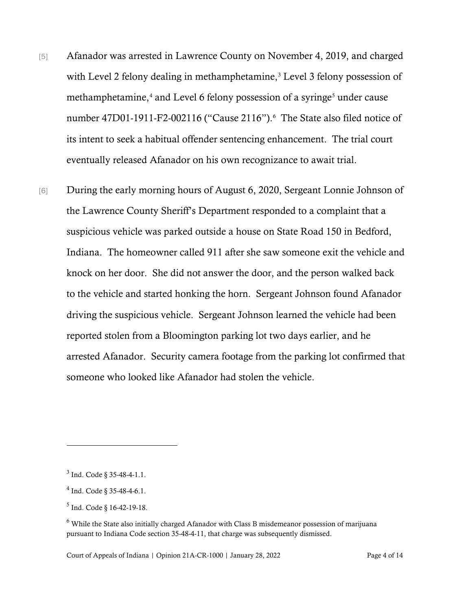- [5] Afanador was arrested in Lawrence County on November 4, 2019, and charged with Level 2 felony dealing in methamphetamine,<sup>[3](#page-3-0)</sup> Level 3 felony possession of methamphetamine,<sup>[4](#page-3-1)</sup> and Level 6 felony possession of a syringe<sup>[5](#page-3-2)</sup> under cause number 47D01-1911-F2-00211[6](#page-3-3) ("Cause 2116").<sup>6</sup> The State also filed notice of its intent to seek a habitual offender sentencing enhancement. The trial court eventually released Afanador on his own recognizance to await trial.
- [6] During the early morning hours of August 6, 2020, Sergeant Lonnie Johnson of the Lawrence County Sheriff's Department responded to a complaint that a suspicious vehicle was parked outside a house on State Road 150 in Bedford, Indiana. The homeowner called 911 after she saw someone exit the vehicle and knock on her door. She did not answer the door, and the person walked back to the vehicle and started honking the horn. Sergeant Johnson found Afanador driving the suspicious vehicle. Sergeant Johnson learned the vehicle had been reported stolen from a Bloomington parking lot two days earlier, and he arrested Afanador. Security camera footage from the parking lot confirmed that someone who looked like Afanador had stolen the vehicle.

<span id="page-3-0"></span> $3$  Ind. Code  $\S$  35-48-4-1.1.

<span id="page-3-1"></span> $4$  Ind. Code § 35-48-4-6.1.

<span id="page-3-2"></span><sup>5</sup> Ind. Code § 16-42-19-18.

<span id="page-3-3"></span><sup>6</sup> While the State also initially charged Afanador with Class B misdemeanor possession of marijuana pursuant to Indiana Code section 35-48-4-11, that charge was subsequently dismissed.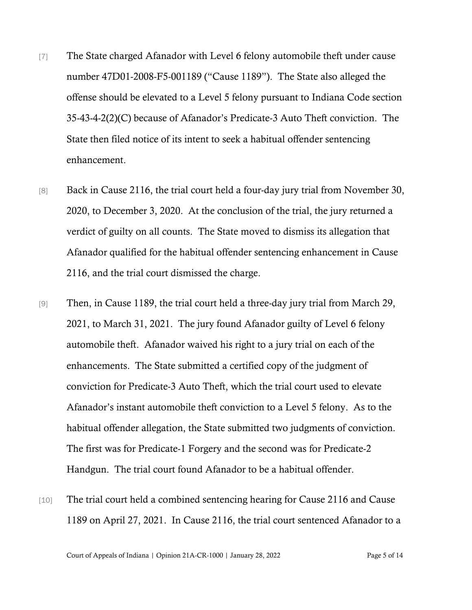- [7] The State charged Afanador with Level 6 felony automobile theft under cause number 47D01-2008-F5-001189 ("Cause 1189"). The State also alleged the offense should be elevated to a Level 5 felony pursuant to Indiana Code section 35-43-4-2(2)(C) because of Afanador's Predicate-3 Auto Theft conviction. The State then filed notice of its intent to seek a habitual offender sentencing enhancement.
- [8] Back in Cause 2116, the trial court held a four-day jury trial from November 30, 2020, to December 3, 2020. At the conclusion of the trial, the jury returned a verdict of guilty on all counts. The State moved to dismiss its allegation that Afanador qualified for the habitual offender sentencing enhancement in Cause 2116, and the trial court dismissed the charge.
- [9] Then, in Cause 1189, the trial court held a three-day jury trial from March 29, 2021, to March 31, 2021. The jury found Afanador guilty of Level 6 felony automobile theft. Afanador waived his right to a jury trial on each of the enhancements. The State submitted a certified copy of the judgment of conviction for Predicate-3 Auto Theft, which the trial court used to elevate Afanador's instant automobile theft conviction to a Level 5 felony. As to the habitual offender allegation, the State submitted two judgments of conviction. The first was for Predicate-1 Forgery and the second was for Predicate-2 Handgun. The trial court found Afanador to be a habitual offender.
- [10] The trial court held a combined sentencing hearing for Cause 2116 and Cause 1189 on April 27, 2021. In Cause 2116, the trial court sentenced Afanador to a

Court of Appeals of Indiana | Opinion 21A-CR-1000 | January 28, 2022 Page 5 of 14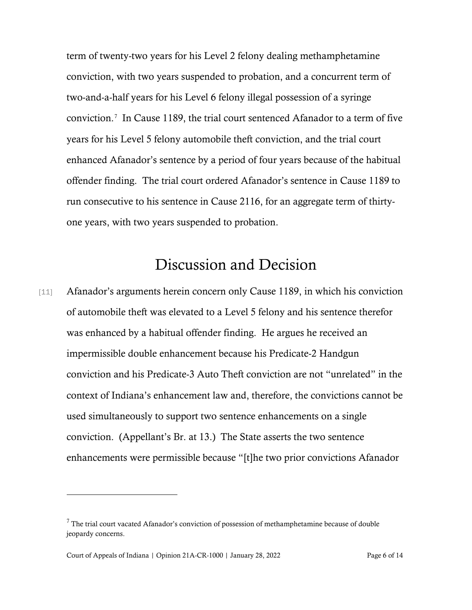term of twenty-two years for his Level 2 felony dealing methamphetamine conviction, with two years suspended to probation, and a concurrent term of two-and-a-half years for his Level 6 felony illegal possession of a syringe conviction.[7](#page-5-0) In Cause 1189, the trial court sentenced Afanador to a term of five years for his Level 5 felony automobile theft conviction, and the trial court enhanced Afanador's sentence by a period of four years because of the habitual offender finding. The trial court ordered Afanador's sentence in Cause 1189 to run consecutive to his sentence in Cause 2116, for an aggregate term of thirtyone years, with two years suspended to probation.

## Discussion and Decision

[11] Afanador's arguments herein concern only Cause 1189, in which his conviction of automobile theft was elevated to a Level 5 felony and his sentence therefor was enhanced by a habitual offender finding. He argues he received an impermissible double enhancement because his Predicate-2 Handgun conviction and his Predicate-3 Auto Theft conviction are not "unrelated" in the context of Indiana's enhancement law and, therefore, the convictions cannot be used simultaneously to support two sentence enhancements on a single conviction. (Appellant's Br. at 13.) The State asserts the two sentence enhancements were permissible because "[t]he two prior convictions Afanador

<span id="page-5-0"></span> $7$  The trial court vacated Afanador's conviction of possession of methamphetamine because of double jeopardy concerns.

Court of Appeals of Indiana | Opinion 21A-CR-1000 | January 28, 2022 Page 6 of 14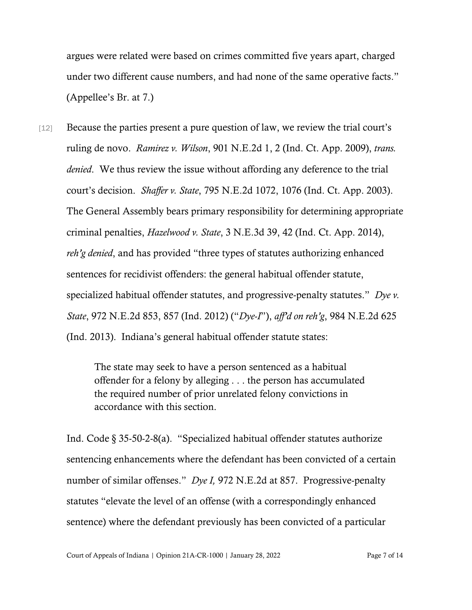argues were related were based on crimes committed five years apart, charged under two different cause numbers, and had none of the same operative facts." (Appellee's Br. at 7.)

[12] Because the parties present a pure question of law, we review the trial court's ruling de novo. *Ramirez v. Wilson*, 901 N.E.2d 1, 2 (Ind. Ct. App. 2009), *trans. denied*. We thus review the issue without affording any deference to the trial court's decision. *Shaffer v. State*, 795 N.E.2d 1072, 1076 (Ind. Ct. App. 2003). The General Assembly bears primary responsibility for determining appropriate criminal penalties, *Hazelwood v. State*, 3 N.E.3d 39, 42 (Ind. Ct. App. 2014), *reh'g denied*, and has provided "three types of statutes authorizing enhanced sentences for recidivist offenders: the general habitual offender statute, specialized habitual offender statutes, and progressive-penalty statutes." *Dye v. State*, 972 N.E.2d 853, 857 (Ind. 2012) ("*Dye-I*"), *aff'd on reh'g*, 984 N.E.2d 625 (Ind. 2013). Indiana's general habitual offender statute states:

> The state may seek to have a person sentenced as a habitual offender for a felony by alleging . . . the person has accumulated the required number of prior unrelated felony convictions in accordance with this section.

Ind. Code § 35-50-2-8(a). "Specialized habitual offender statutes authorize sentencing enhancements where the defendant has been convicted of a certain number of similar offenses." *Dye I,* 972 N.E.2d at 857. Progressive-penalty statutes "elevate the level of an offense (with a correspondingly enhanced sentence) where the defendant previously has been convicted of a particular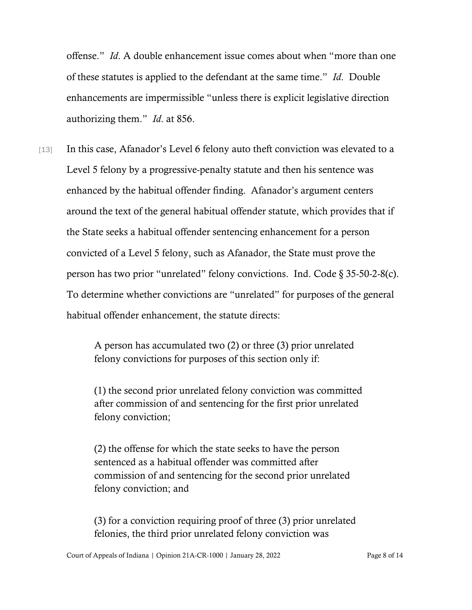offense." *Id*. A double enhancement issue comes about when "more than one of these statutes is applied to the defendant at the same time." *Id*. Double enhancements are impermissible "unless there is explicit legislative direction authorizing them." *Id*. at 856.

[13] In this case, Afanador's Level 6 felony auto theft conviction was elevated to a Level 5 felony by a progressive-penalty statute and then his sentence was enhanced by the habitual offender finding. Afanador's argument centers around the text of the general habitual offender statute, which provides that if the State seeks a habitual offender sentencing enhancement for a person convicted of a Level 5 felony, such as Afanador, the State must prove the person has two prior "unrelated" felony convictions. Ind. Code § 35-50-2-8(c). To determine whether convictions are "unrelated" for purposes of the general habitual offender enhancement, the statute directs:

> A person has accumulated two (2) or three (3) prior unrelated felony convictions for purposes of this section only if:

(1) the second prior unrelated felony conviction was committed after commission of and sentencing for the first prior unrelated felony conviction;

(2) the offense for which the state seeks to have the person sentenced as a habitual offender was committed after commission of and sentencing for the second prior unrelated felony conviction; and

(3) for a conviction requiring proof of three (3) prior unrelated felonies, the third prior unrelated felony conviction was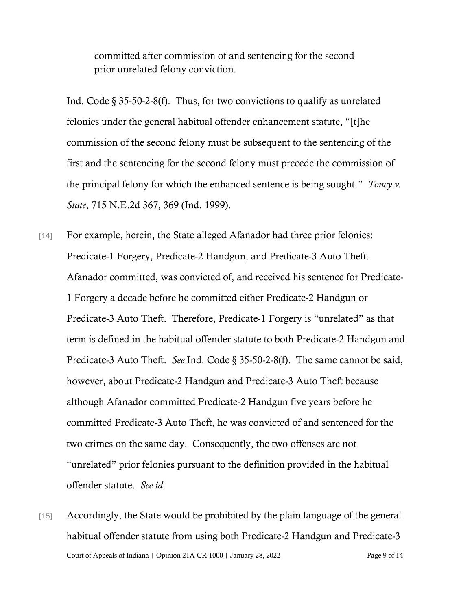committed after commission of and sentencing for the second prior unrelated felony conviction.

Ind. Code § 35-50-2-8(f). Thus, for two convictions to qualify as unrelated felonies under the general habitual offender enhancement statute, "[t]he commission of the second felony must be subsequent to the sentencing of the first and the sentencing for the second felony must precede the commission of the principal felony for which the enhanced sentence is being sought." *Toney v. State*, 715 N.E.2d 367, 369 (Ind. 1999).

[14] For example, herein, the State alleged Afanador had three prior felonies: Predicate-1 Forgery, Predicate-2 Handgun, and Predicate-3 Auto Theft. Afanador committed, was convicted of, and received his sentence for Predicate-1 Forgery a decade before he committed either Predicate-2 Handgun or Predicate-3 Auto Theft. Therefore, Predicate-1 Forgery is "unrelated" as that term is defined in the habitual offender statute to both Predicate-2 Handgun and Predicate-3 Auto Theft. *See* Ind. Code § 35-50-2-8(f). The same cannot be said, however, about Predicate-2 Handgun and Predicate-3 Auto Theft because although Afanador committed Predicate-2 Handgun five years before he committed Predicate-3 Auto Theft, he was convicted of and sentenced for the two crimes on the same day. Consequently, the two offenses are not "unrelated" prior felonies pursuant to the definition provided in the habitual offender statute. *See id*.

Court of Appeals of Indiana | Opinion 21A-CR-1000 | January 28, 2022 Page 9 of 14 [15] Accordingly, the State would be prohibited by the plain language of the general habitual offender statute from using both Predicate-2 Handgun and Predicate-3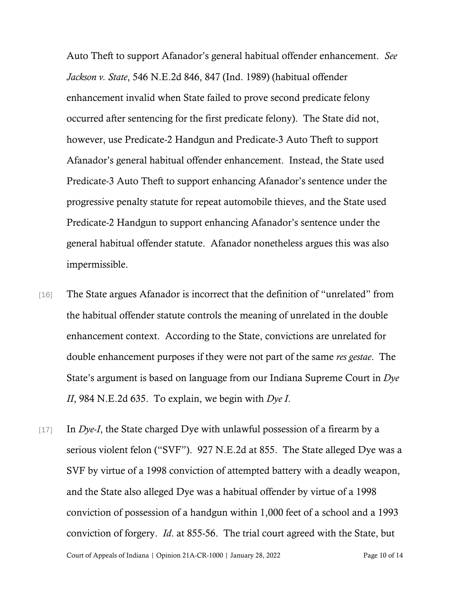Auto Theft to support Afanador's general habitual offender enhancement. *See Jackson v. State*, 546 N.E.2d 846, 847 (Ind. 1989) (habitual offender enhancement invalid when State failed to prove second predicate felony occurred after sentencing for the first predicate felony). The State did not, however, use Predicate-2 Handgun and Predicate-3 Auto Theft to support Afanador's general habitual offender enhancement. Instead, the State used Predicate-3 Auto Theft to support enhancing Afanador's sentence under the progressive penalty statute for repeat automobile thieves, and the State used Predicate-2 Handgun to support enhancing Afanador's sentence under the general habitual offender statute. Afanador nonetheless argues this was also impermissible.

- [16] The State argues Afanador is incorrect that the definition of "unrelated" from the habitual offender statute controls the meaning of unrelated in the double enhancement context. According to the State, convictions are unrelated for double enhancement purposes if they were not part of the same *res gestae*. The State's argument is based on language from our Indiana Supreme Court in *Dye II*, 984 N.E.2d 635. To explain, we begin with *Dye I*.
- Court of Appeals of Indiana | Opinion 21A-CR-1000 | January 28, 2022 Page 10 of 14 [17] In *Dye-I*, the State charged Dye with unlawful possession of a firearm by a serious violent felon ("SVF"). 927 N.E.2d at 855. The State alleged Dye was a SVF by virtue of a 1998 conviction of attempted battery with a deadly weapon, and the State also alleged Dye was a habitual offender by virtue of a 1998 conviction of possession of a handgun within 1,000 feet of a school and a 1993 conviction of forgery. *Id*. at 855-56. The trial court agreed with the State, but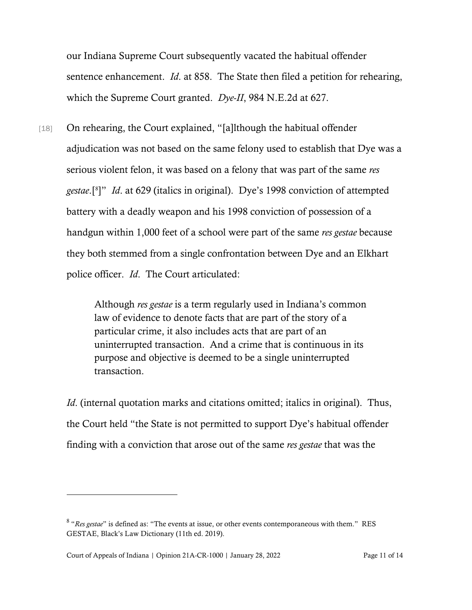our Indiana Supreme Court subsequently vacated the habitual offender sentence enhancement. *Id*. at 858. The State then filed a petition for rehearing, which the Supreme Court granted. *Dye-II*, 984 N.E.2d at 627.

[18] On rehearing, the Court explained, "[a]lthough the habitual offender adjudication was not based on the same felony used to establish that Dye was a serious violent felon, it was based on a felony that was part of the same *res gestae*.[[8](#page-10-0) ]" *Id*. at 629 (italics in original). Dye's 1998 conviction of attempted battery with a deadly weapon and his 1998 conviction of possession of a handgun within 1,000 feet of a school were part of the same *res gestae* because they both stemmed from a single confrontation between Dye and an Elkhart police officer. *Id*. The Court articulated:

> Although *res gestae* is a term regularly used in Indiana's common law of evidence to denote facts that are part of the story of a particular crime, it also includes acts that are part of an uninterrupted transaction. And a crime that is continuous in its purpose and objective is deemed to be a single uninterrupted transaction.

*Id.* (internal quotation marks and citations omitted; italics in original). Thus, the Court held "the State is not permitted to support Dye's habitual offender finding with a conviction that arose out of the same *res gestae* that was the

<span id="page-10-0"></span><sup>8</sup> "*Res gestae*" is defined as: "The events at issue, or other events contemporaneous with them." RES GESTAE, Black's Law Dictionary (11th ed. 2019).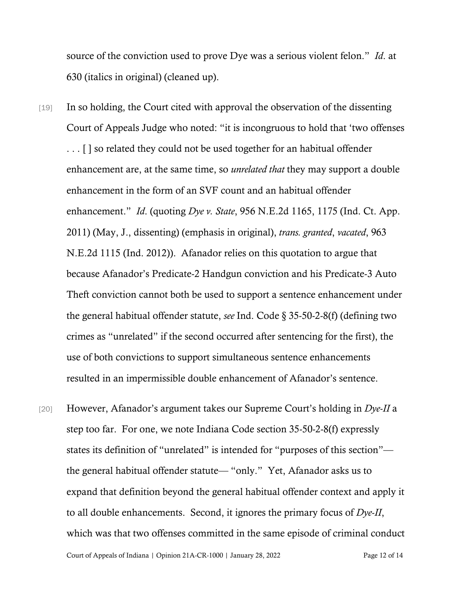source of the conviction used to prove Dye was a serious violent felon." *Id*. at 630 (italics in original) (cleaned up).

- [19] In so holding, the Court cited with approval the observation of the dissenting Court of Appeals Judge who noted: "it is incongruous to hold that 'two offenses . . . [ ] so related they could not be used together for an habitual offender enhancement are, at the same time, so *unrelated that* they may support a double enhancement in the form of an SVF count and an habitual offender enhancement." *Id*. (quoting *Dye v. State*, 956 N.E.2d 1165, 1175 (Ind. Ct. App. 2011) (May, J., dissenting) (emphasis in original), *trans. granted*, *vacated*, 963 N.E.2d 1115 (Ind. 2012)). Afanador relies on this quotation to argue that because Afanador's Predicate-2 Handgun conviction and his Predicate-3 Auto Theft conviction cannot both be used to support a sentence enhancement under the general habitual offender statute, *see* Ind. Code § 35-50-2-8(f) (defining two crimes as "unrelated" if the second occurred after sentencing for the first), the use of both convictions to support simultaneous sentence enhancements resulted in an impermissible double enhancement of Afanador's sentence.
- Court of Appeals of Indiana | Opinion 21A-CR-1000 | January 28, 2022 Page 12 of 14 [20] However, Afanador's argument takes our Supreme Court's holding in *Dye-II* a step too far. For one, we note Indiana Code section 35-50-2-8(f) expressly states its definition of "unrelated" is intended for "purposes of this section" the general habitual offender statute— "only." Yet, Afanador asks us to expand that definition beyond the general habitual offender context and apply it to all double enhancements. Second, it ignores the primary focus of *Dye-II*, which was that two offenses committed in the same episode of criminal conduct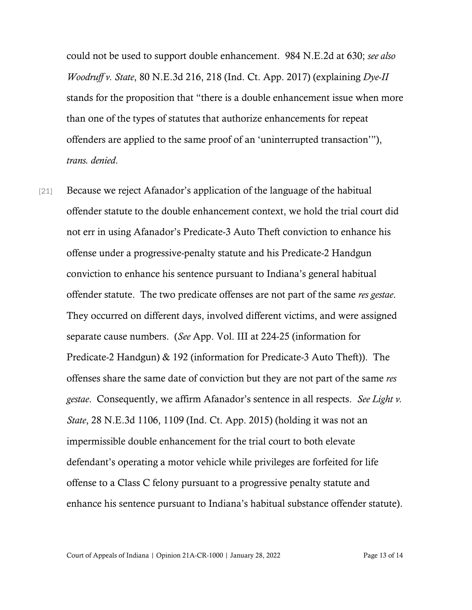could not be used to support double enhancement. 984 N.E.2d at 630; *see also Woodruff v. State*, 80 N.E.3d 216, 218 (Ind. Ct. App. 2017) (explaining *Dye-II* stands for the proposition that "there is a double enhancement issue when more than one of the types of statutes that authorize enhancements for repeat offenders are applied to the same proof of an 'uninterrupted transaction'"), *trans. denied*.

[21] Because we reject Afanador's application of the language of the habitual offender statute to the double enhancement context, we hold the trial court did not err in using Afanador's Predicate-3 Auto Theft conviction to enhance his offense under a progressive-penalty statute and his Predicate-2 Handgun conviction to enhance his sentence pursuant to Indiana's general habitual offender statute. The two predicate offenses are not part of the same *res gestae*. They occurred on different days, involved different victims, and were assigned separate cause numbers. (*See* App. Vol. III at 224-25 (information for Predicate-2 Handgun) & 192 (information for Predicate-3 Auto Theft)). The offenses share the same date of conviction but they are not part of the same *res gestae*. Consequently, we affirm Afanador's sentence in all respects. *See Light v. State*, 28 N.E.3d 1106, 1109 (Ind. Ct. App. 2015) (holding it was not an impermissible double enhancement for the trial court to both elevate defendant's operating a motor vehicle while privileges are forfeited for life offense to a Class C felony pursuant to a progressive penalty statute and enhance his sentence pursuant to Indiana's habitual substance offender statute).